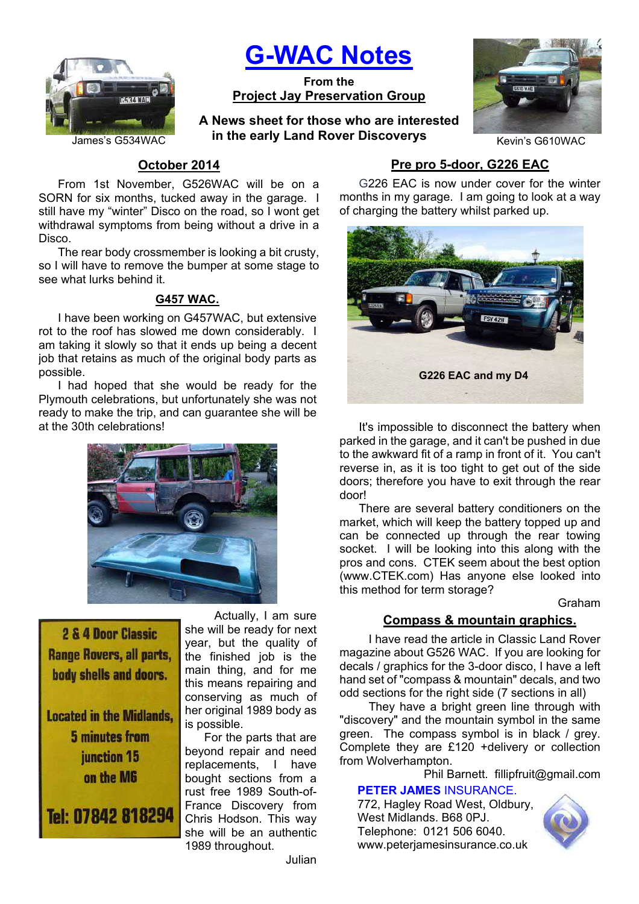

# **G-WAC Notes**

**From the Project Jay Preservation Group**

James's G534WAC **him the early Land Rover Discoverys CONTACTER ACCOMPTENT** Kevin's G610WAC **A News sheet for those who are interested** 



# **October 2014**

From 1st November, G526WAC will be on a SORN for six months, tucked away in the garage. I still have my "winter" Disco on the road, so I wont get withdrawal symptoms from being without a drive in a Disco.

The rear body crossmember is looking a bit crusty, so I will have to remove the bumper at some stage to see what lurks behind it.

## **G457 WAC.**

I have been working on G457WAC, but extensive rot to the roof has slowed me down considerably. I am taking it slowly so that it ends up being a decent job that retains as much of the original body parts as possible.

I had hoped that she would be ready for the Plymouth celebrations, but unfortunately she was not ready to make the trip, and can guarantee she will be at the 30th celebrations!



**2 & 4 Door Classic Range Rovers, all parts,** body shells and doors.

**Located in the Midlands.** 5 minutes from junction 15 on the M6

Tel: 07842 818294

 Actually, I am sure she will be ready for next year, but the quality of the finished job is the main thing, and for me this means repairing and conserving as much of her original 1989 body as is possible.

For the parts that are beyond repair and need replacements, I have bought sections from a rust free 1989 South-of-France Discovery from Chris Hodson. This way she will be an authentic 1989 throughout.

# **Pre pro 5-door, G226 EAC**

G226 EAC is now under cover for the winter months in my garage. I am going to look at a way of charging the battery whilst parked up.



It's impossible to disconnect the battery when parked in the garage, and it can't be pushed in due to the awkward fit of a ramp in front of it. You can't reverse in, as it is too tight to get out of the side doors; therefore you have to exit through the rear door!

There are several battery conditioners on the market, which will keep the battery topped up and can be connected up through the rear towing socket. I will be looking into this along with the pros and cons. CTEK seem about the best option (www.CTEK.com) Has anyone else looked into this method for term storage?

Graham

# **Compass & mountain graphics.**

I have read the article in Classic Land Rover magazine about G526 WAC. If you are looking for decals / graphics for the 3-door disco, I have a left hand set of "compass & mountain" decals, and two odd sections for the right side (7 sections in all)

They have a bright green line through with "discovery" and the mountain symbol in the same green. The compass symbol is in black / grey. Complete they are £120 +delivery or collection from Wolverhampton.

Phil Barnett. fillipfruit@gmail.com

# **PETER JAMES** INSURANCE.

772, Hagley Road West, Oldbury, West Midlands. B68 0PJ. Telephone: 0121 506 6040. www.peterjamesinsurance.co.uk

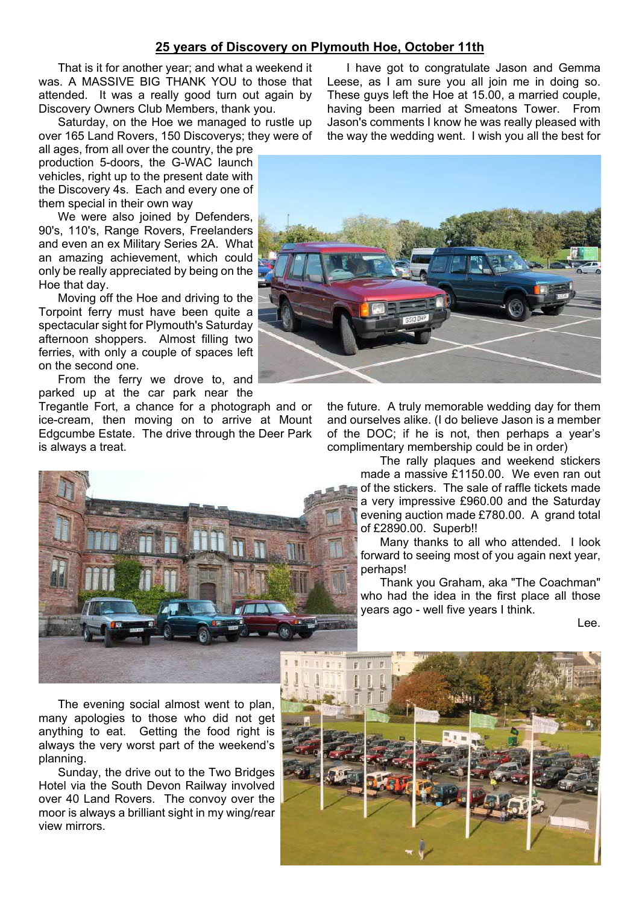## **25 years of Discovery on Plymouth Hoe, October 11th**

That is it for another year; and what a weekend it was. A MASSIVE BIG THANK YOU to those that attended. It was a really good turn out again by Discovery Owners Club Members, thank you.

Saturday, on the Hoe we managed to rustle up over 165 Land Rovers, 150 Discoverys; they were of

all ages, from all over the country, the pre production 5-doors, the G-WAC launch vehicles, right up to the present date with the Discovery 4s. Each and every one of them special in their own way

We were also joined by Defenders, 90's, 110's, Range Rovers, Freelanders and even an ex Military Series 2A. What an amazing achievement, which could only be really appreciated by being on the Hoe that day.

Moving off the Hoe and driving to the Torpoint ferry must have been quite a spectacular sight for Plymouth's Saturday afternoon shoppers. Almost filling two ferries, with only a couple of spaces left on the second one.

From the ferry we drove to, and parked up at the car park near the

Tregantle Fort, a chance for a photograph and or ice-cream, then moving on to arrive at Mount Edgcumbe Estate. The drive through the Deer Park is always a treat.



I have got to congratulate Jason and Gemma Leese, as I am sure you all join me in doing so. These guys left the Hoe at 15.00, a married couple, having been married at Smeatons Tower. From Jason's comments I know he was really pleased with the way the wedding went. I wish you all the best for



the future. A truly memorable wedding day for them and ourselves alike. (I do believe Jason is a member of the DOC; if he is not, then perhaps a year's complimentary membership could be in order)

> The rally plaques and weekend stickers made a massive £1150.00. We even ran out of the stickers. The sale of raffle tickets made a very impressive £960.00 and the Saturday evening auction made £780.00. A grand total of £2890.00. Superb!!

> Many thanks to all who attended. I look forward to seeing most of you again next year, perhaps!

> Thank you Graham, aka "The Coachman" who had the idea in the first place all those years ago - well five years I think.

> > Lee.

The evening social almost went to plan, many apologies to those who did not get anything to eat. Getting the food right is always the very worst part of the weekend's planning.

Sunday, the drive out to the Two Bridges Hotel via the South Devon Railway involved over 40 Land Rovers. The convoy over the moor is always a brilliant sight in my wing/rear view mirrors.

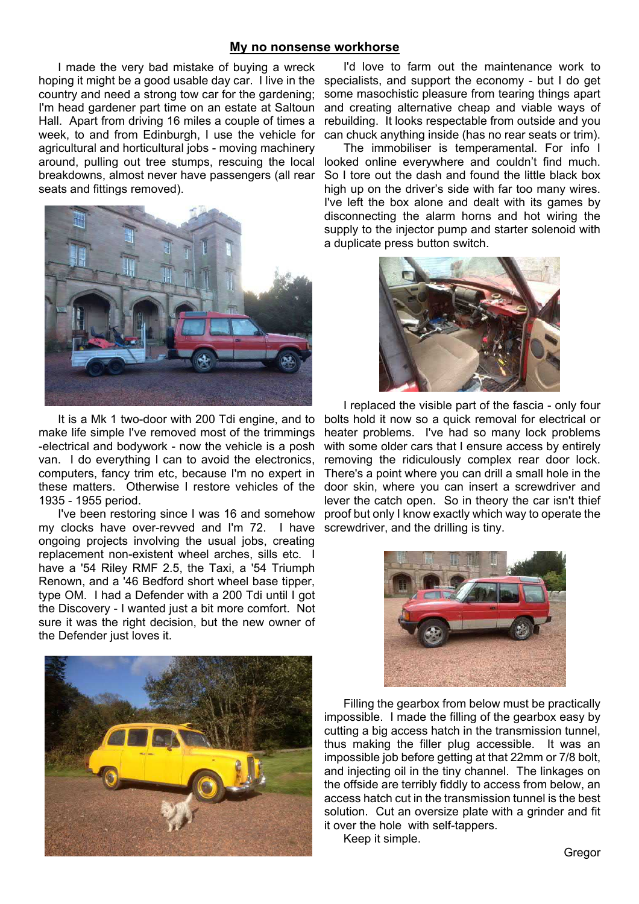#### **My no nonsense workhorse**

I made the very bad mistake of buying a wreck hoping it might be a good usable day car. I live in the specialists, and support the economy - but I do get country and need a strong tow car for the gardening; I'm head gardener part time on an estate at Saltoun Hall. Apart from driving 16 miles a couple of times a week, to and from Edinburgh, I use the vehicle for agricultural and horticultural jobs - moving machinery around, pulling out tree stumps, rescuing the local breakdowns, almost never have passengers (all rear seats and fittings removed).



It is a Mk 1 two-door with 200 Tdi engine, and to make life simple I've removed most of the trimmings -electrical and bodywork - now the vehicle is a posh van. I do everything I can to avoid the electronics, computers, fancy trim etc, because I'm no expert in these matters. Otherwise I restore vehicles of the 1935 - 1955 period.

I've been restoring since I was 16 and somehow my clocks have over-revved and I'm 72. I have ongoing projects involving the usual jobs, creating replacement non-existent wheel arches, sills etc. I have a '54 Riley RMF 2.5, the Taxi, a '54 Triumph Renown, and a '46 Bedford short wheel base tipper, type OM. I had a Defender with a 200 Tdi until I got the Discovery - I wanted just a bit more comfort. Not sure it was the right decision, but the new owner of the Defender just loves it.



I'd love to farm out the maintenance work to some masochistic pleasure from tearing things apart and creating alternative cheap and viable ways of rebuilding. It looks respectable from outside and you can chuck anything inside (has no rear seats or trim).

The immobiliser is temperamental. For info I looked online everywhere and couldn't find much. So I tore out the dash and found the little black box high up on the driver's side with far too many wires. I've left the box alone and dealt with its games by disconnecting the alarm horns and hot wiring the supply to the injector pump and starter solenoid with a duplicate press button switch.



I replaced the visible part of the fascia - only four bolts hold it now so a quick removal for electrical or heater problems. I've had so many lock problems with some older cars that I ensure access by entirely removing the ridiculously complex rear door lock. There's a point where you can drill a small hole in the door skin, where you can insert a screwdriver and lever the catch open. So in theory the car isn't thief proof but only I know exactly which way to operate the screwdriver, and the drilling is tiny.



Filling the gearbox from below must be practically impossible. I made the filling of the gearbox easy by cutting a big access hatch in the transmission tunnel, thus making the filler plug accessible. It was an impossible job before getting at that 22mm or 7/8 bolt, and injecting oil in the tiny channel. The linkages on the offside are terribly fiddly to access from below, an access hatch cut in the transmission tunnel is the best solution. Cut an oversize plate with a grinder and fit it over the hole with self-tappers.

Keep it simple.